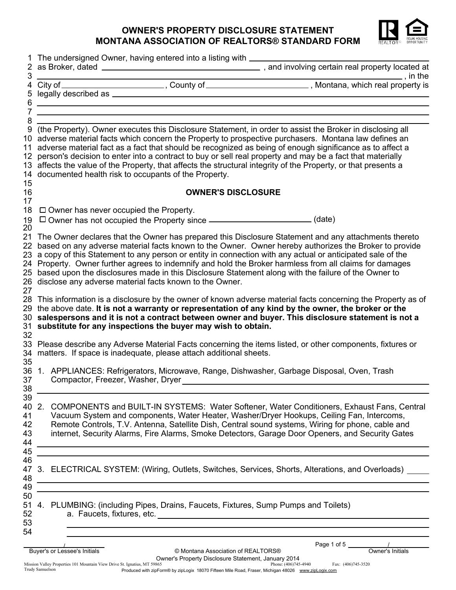## **OWNER'S PROPERTY DISCLOSURE STATEMENT MONTANA ASSOCIATION OF REALTORS® STANDARD FORM**



|          | The undersigned Owner, having entered into a listing with ____                                                                                                                                                                |                                    |                                                                                                                      |  |  |
|----------|-------------------------------------------------------------------------------------------------------------------------------------------------------------------------------------------------------------------------------|------------------------------------|----------------------------------------------------------------------------------------------------------------------|--|--|
| 3        |                                                                                                                                                                                                                               |                                    |                                                                                                                      |  |  |
|          |                                                                                                                                                                                                                               |                                    |                                                                                                                      |  |  |
|          |                                                                                                                                                                                                                               |                                    |                                                                                                                      |  |  |
| 6        |                                                                                                                                                                                                                               |                                    |                                                                                                                      |  |  |
|          | the control of the control of the control of the control of the control of the control of the control of the control of the control of the control of the control of the control of the control of the control of the control |                                    |                                                                                                                      |  |  |
| 8<br>9   |                                                                                                                                                                                                                               |                                    | (the Property). Owner executes this Disclosure Statement, in order to assist the Broker in disclosing all            |  |  |
|          |                                                                                                                                                                                                                               |                                    | 10 adverse material facts which concern the Property to prospective purchasers. Montana law defines an               |  |  |
|          |                                                                                                                                                                                                                               |                                    | 11 adverse material fact as a fact that should be recognized as being of enough significance as to affect a          |  |  |
|          | 12 person's decision to enter into a contract to buy or sell real property and may be a fact that materially                                                                                                                  |                                    |                                                                                                                      |  |  |
|          | 13 affects the value of the Property, that affects the structural integrity of the Property, or that presents a                                                                                                               |                                    |                                                                                                                      |  |  |
|          | 14 documented health risk to occupants of the Property.                                                                                                                                                                       |                                    |                                                                                                                      |  |  |
| 15       |                                                                                                                                                                                                                               |                                    |                                                                                                                      |  |  |
| 16       |                                                                                                                                                                                                                               | <b>OWNER'S DISCLOSURE</b>          |                                                                                                                      |  |  |
| 17<br>18 | $\Box$ Owner has never occupied the Property.                                                                                                                                                                                 |                                    |                                                                                                                      |  |  |
| 19       | □ Owner has not occupied the Property since _______________________(date)                                                                                                                                                     |                                    |                                                                                                                      |  |  |
| 20       |                                                                                                                                                                                                                               |                                    |                                                                                                                      |  |  |
|          |                                                                                                                                                                                                                               |                                    | 21 The Owner declares that the Owner has prepared this Disclosure Statement and any attachments thereto              |  |  |
|          |                                                                                                                                                                                                                               |                                    | 22 based on any adverse material facts known to the Owner. Owner hereby authorizes the Broker to provide             |  |  |
|          |                                                                                                                                                                                                                               |                                    | 23 a copy of this Statement to any person or entity in connection with any actual or anticipated sale of the         |  |  |
|          |                                                                                                                                                                                                                               |                                    | 24 Property. Owner further agrees to indemnify and hold the Broker harmless from all claims for damages              |  |  |
| 25       |                                                                                                                                                                                                                               |                                    | based upon the disclosures made in this Disclosure Statement along with the failure of the Owner to                  |  |  |
| 27       | 26 disclose any adverse material facts known to the Owner.                                                                                                                                                                    |                                    |                                                                                                                      |  |  |
|          |                                                                                                                                                                                                                               |                                    | 28 This information is a disclosure by the owner of known adverse material facts concerning the Property as of       |  |  |
|          |                                                                                                                                                                                                                               |                                    | 29 the above date. It is not a warranty or representation of any kind by the owner, the broker or the                |  |  |
|          |                                                                                                                                                                                                                               |                                    | $30$ $\,$ salespersons and it is not a contract between owner and buyer. This disclosure statement is not a          |  |  |
|          | 31 substitute for any inspections the buyer may wish to obtain.                                                                                                                                                               |                                    |                                                                                                                      |  |  |
| 32       |                                                                                                                                                                                                                               |                                    |                                                                                                                      |  |  |
|          |                                                                                                                                                                                                                               |                                    | 33 Please describe any Adverse Material Facts concerning the items listed, or other components, fixtures or          |  |  |
|          | 34 matters. If space is inadequate, please attach additional sheets.                                                                                                                                                          |                                    |                                                                                                                      |  |  |
| 35       |                                                                                                                                                                                                                               |                                    | 36 1. APPLIANCES: Refrigerators, Microwave, Range, Dishwasher, Garbage Disposal, Oven, Trash                         |  |  |
| 37       | Compactor, Freezer, Washer, Dryer                                                                                                                                                                                             |                                    |                                                                                                                      |  |  |
| 38       |                                                                                                                                                                                                                               |                                    |                                                                                                                      |  |  |
| 39       |                                                                                                                                                                                                                               |                                    |                                                                                                                      |  |  |
| 40 2.    |                                                                                                                                                                                                                               |                                    | COMPONENTS and BUILT-IN SYSTEMS: Water Softener, Water Conditioners, Exhaust Fans, Central                           |  |  |
| 41       |                                                                                                                                                                                                                               |                                    | Vacuum System and components, Water Heater, Washer/Dryer Hookups, Ceiling Fan, Intercoms,                            |  |  |
| 42       |                                                                                                                                                                                                                               |                                    | Remote Controls, T.V. Antenna, Satellite Dish, Central sound systems, Wiring for phone, cable and                    |  |  |
| 43       |                                                                                                                                                                                                                               |                                    | internet, Security Alarms, Fire Alarms, Smoke Detectors, Garage Door Openers, and Security Gates                     |  |  |
| 44<br>45 |                                                                                                                                                                                                                               |                                    |                                                                                                                      |  |  |
| 46       |                                                                                                                                                                                                                               |                                    |                                                                                                                      |  |  |
| 47       |                                                                                                                                                                                                                               |                                    | 3. ELECTRICAL SYSTEM: (Wiring, Outlets, Switches, Services, Shorts, Alterations, and Overloads)                      |  |  |
| 48       |                                                                                                                                                                                                                               |                                    | <u> 1989 - Jan Samuel Barbara, margaret e a seu a componente de la propia de la propia de la propia de la propia</u> |  |  |
| 49       |                                                                                                                                                                                                                               |                                    |                                                                                                                      |  |  |
| 50       |                                                                                                                                                                                                                               |                                    |                                                                                                                      |  |  |
| 51       | PLUMBING: (including Pipes, Drains, Faucets, Fixtures, Sump Pumps and Toilets)<br>4.                                                                                                                                          |                                    |                                                                                                                      |  |  |
| 52       |                                                                                                                                                                                                                               |                                    |                                                                                                                      |  |  |
| 53<br>54 |                                                                                                                                                                                                                               |                                    |                                                                                                                      |  |  |
|          |                                                                                                                                                                                                                               |                                    |                                                                                                                      |  |  |
|          | Buyer's or Lessee's Initials                                                                                                                                                                                                  | © Montana Association of REALTORS® |                                                                                                                      |  |  |
|          |                                                                                                                                                                                                                               |                                    |                                                                                                                      |  |  |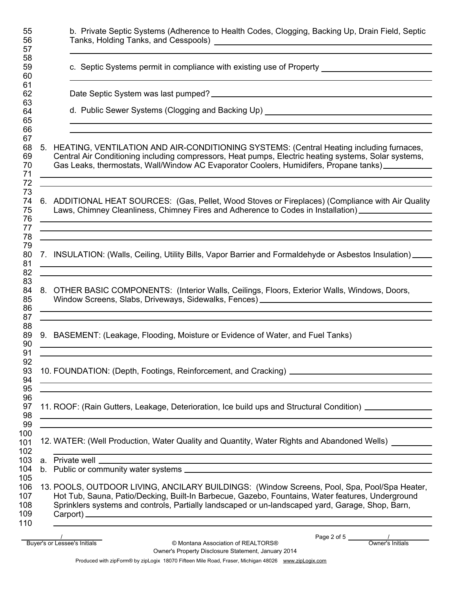| 55<br>56<br>57                         | b. Private Septic Systems (Adherence to Health Codes, Clogging, Backing Up, Drain Field, Septic                                                                                                                                                                                                                                                                                                                                                            |
|----------------------------------------|------------------------------------------------------------------------------------------------------------------------------------------------------------------------------------------------------------------------------------------------------------------------------------------------------------------------------------------------------------------------------------------------------------------------------------------------------------|
| 58<br>59<br>60                         | c. Septic Systems permit in compliance with existing use of Property ______________________________                                                                                                                                                                                                                                                                                                                                                        |
| 61<br>62<br>63                         |                                                                                                                                                                                                                                                                                                                                                                                                                                                            |
| 64<br>65<br>66                         | d. Public Sewer Systems (Clogging and Backing Up) _______________________________                                                                                                                                                                                                                                                                                                                                                                          |
| 67<br>68<br>69<br>70<br>71<br>72       | 5. HEATING, VENTILATION AND AIR-CONDITIONING SYSTEMS: (Central Heating including furnaces,<br>Central Air Conditioning including compressors, Heat pumps, Electric heating systems, Solar systems,<br>Gas Leaks, thermostats, Wall/Window AC Evaporator Coolers, Humidifers, Propane tanks)<br><u> 1989 - Jan Samuel Barbara, margaret ar brezhon eo ar marv a vez an daou a vez an daou a vez an daou a vez an</u>                                        |
| 73<br>74<br>75<br>76<br>77             | 6. ADDITIONAL HEAT SOURCES: (Gas, Pellet, Wood Stoves or Fireplaces) (Compliance with Air Quality<br>Laws, Chimney Cleanliness, Chimney Fires and Adherence to Codes in Installation)___________________<br><u> 1989 - Andrea Santa Andrea Andrea Andrea Andrea Andrea Andrea Andrea Andrea Andrea Andrea Andrea Andrea Andr</u><br><u> 1989 - Andrea Santana, amerikana amerikana amerikana amerikana amerikana amerikana amerikana amerikana amerika</u> |
| 78<br>79<br>80<br>81<br>82             | 7. INSULATION: (Walls, Ceiling, Utility Bills, Vapor Barrier and Formaldehyde or Asbestos Insulation)<br><u> 1989 - Johann Barn, amerikan bernama di sebagai bernama di sebagai bernama di sebagai bernama di sebagai ber</u><br><u> 1989 - Johann John Stone, Amerikaansk politiker († 1908)</u>                                                                                                                                                          |
| 83<br>84<br>85<br>86<br>87             | 8. OTHER BASIC COMPONENTS: (Interior Walls, Ceilings, Floors, Exterior Walls, Windows, Doors,<br>Window Screens, Slabs, Driveways, Sidewalks, Fences) [2001] [2002] [2002] [2003] [2003] [2003] [2003] [2003] [<br><u> 1989 - Andrea Andrew Maria (h. 1989).</u>                                                                                                                                                                                           |
| 88<br>89<br>90<br>91                   | <u> 1989 - Johann Harry Harry Harry Harry Harry Harry Harry Harry Harry Harry Harry Harry Harry Harry Harry Harry</u><br>9. BASEMENT: (Leakage, Flooding, Moisture or Evidence of Water, and Fuel Tanks)<br>the control of the control of the control of the control of the control of the control of the control of the control of the control of the control of the control of the control of the control of the control of the control                  |
| 92<br>93<br>94<br>95                   | <u> 2000 - Andrea Andrewski, amerikansk politik (d. 1982)</u><br><u> 1989 - Johann Barn, mars and de Branch Barn, mars and de Branch Barn, mars and de Branch Barn, mars and de Br</u>                                                                                                                                                                                                                                                                     |
| 96<br>97<br>98<br>99                   | 11. ROOF: (Rain Gutters, Leakage, Deterioration, Ice build ups and Structural Condition) ___________<br><u> 1989 - Andrea Santana, amerikana amerikana amerikana amerikana amerikana amerikana amerikana amerikana amerika</u>                                                                                                                                                                                                                             |
| 100<br>101<br>102                      | <u> 1989 - Johann Johann Stoff, deutscher Stoff als der Stoff aus der Stoff als der Stoff aus der Stoff als der S</u><br>12. WATER: (Well Production, Water Quality and Quantity, Water Rights and Abandoned Wells) [1896]                                                                                                                                                                                                                                 |
| 103<br>104                             | <u> 1989 - Jan Samuel Barbara, margaret a shekara ta 1989 - An tsara tsara tsara tsara tsara tsara tsara tsara t</u><br>a. Private well experience and the second contract of the second contract of the second contract of the second contract of the second contract of the second contract of the second contract of the second contract of the sec                                                                                                     |
| 105<br>106<br>107<br>108<br>109<br>110 | 13. POOLS, OUTDOOR LIVING, ANCILARY BUILDINGS: (Window Screens, Pool, Spa, Pool/Spa Heater,<br>Hot Tub, Sauna, Patio/Decking, Built-In Barbecue, Gazebo, Fountains, Water features, Underground<br>Sprinklers systems and controls, Partially landscaped or un-landscaped yard, Garage, Shop, Barn,                                                                                                                                                        |
|                                        |                                                                                                                                                                                                                                                                                                                                                                                                                                                            |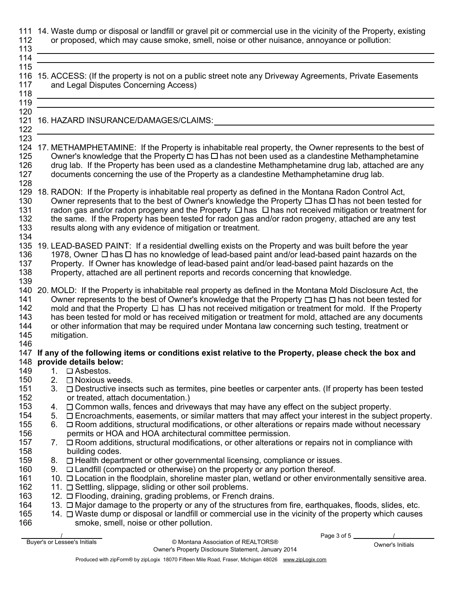| 112<br>113<br>114                             |                | 111 14. Waste dump or disposal or landfill or gravel pit or commercial use in the vicinity of the Property, existing<br>or proposed, which may cause smoke, smell, noise or other nuisance, annoyance or pollution:                                                                                                                                                                                                                                                                                                                                                            |
|-----------------------------------------------|----------------|--------------------------------------------------------------------------------------------------------------------------------------------------------------------------------------------------------------------------------------------------------------------------------------------------------------------------------------------------------------------------------------------------------------------------------------------------------------------------------------------------------------------------------------------------------------------------------|
| 115<br>117<br>118<br>119                      |                | 116 15. ACCESS: (If the property is not on a public street note any Driveway Agreements, Private Easements<br>and Legal Disputes Concerning Access)                                                                                                                                                                                                                                                                                                                                                                                                                            |
| 120<br>121<br>122<br>123                      |                | 16. HAZARD INSURANCE/DAMAGES/CLAIMS:                                                                                                                                                                                                                                                                                                                                                                                                                                                                                                                                           |
| 125<br>126<br>127<br>128                      |                | 124 17. METHAMPHETAMINE: If the Property is inhabitable real property, the Owner represents to the best of<br>Owner's knowledge that the Property $\Box$ has $\Box$ has not been used as a clandestine Methamphetamine<br>drug lab. If the Property has been used as a clandestine Methamphetamine drug lab, attached are any<br>documents concerning the use of the Property as a clandestine Methamphetamine drug lab.                                                                                                                                                       |
| 129<br>130<br>131<br>132<br>133<br>134        |                | 18. RADON: If the Property is inhabitable real property as defined in the Montana Radon Control Act,<br>Owner represents that to the best of Owner's knowledge the Property $\Box$ has $\Box$ has not been tested for<br>radon gas and/or radon progeny and the Property □ has □ has not received mitigation or treatment for<br>the same. If the Property has been tested for radon gas and/or radon progeny, attached are any test<br>results along with any evidence of mitigation or treatment.                                                                            |
| 136<br>137<br>138<br>139                      |                | 135 19. LEAD-BASED PAINT: If a residential dwelling exists on the Property and was built before the year<br>1978, Owner □ has □ has no knowledge of lead-based paint and/or lead-based paint hazards on the<br>Property. If Owner has knowledge of lead-based paint and/or lead-based paint hazards on the<br>Property, attached are all pertinent reports and records concerning that knowledge.                                                                                                                                                                              |
| 141<br>142<br>143<br>144<br>145<br>146        |                | 140 20. MOLD: If the Property is inhabitable real property as defined in the Montana Mold Disclosure Act, the<br>Owner represents to the best of Owner's knowledge that the Property $\Box$ has $\Box$ has not been tested for<br>mold and that the Property $\Box$ has $\Box$ has not received mitigation or treatment for mold. If the Property<br>has been tested for mold or has received mitigation or treatment for mold, attached are any documents<br>or other information that may be required under Montana law concerning such testing, treatment or<br>mitigation. |
| 149                                           |                | 147 If any of the following items or conditions exist relative to the Property, please check the box and<br>148 provide details below:<br>1. $\Box$ Asbestos.                                                                                                                                                                                                                                                                                                                                                                                                                  |
| 150<br>151<br>152                             | 2.             | □ Noxious weeds.<br>3. $\Box$ Destructive insects such as termites, pine beetles or carpenter ants. (If property has been tested<br>or treated, attach documentation.)                                                                                                                                                                                                                                                                                                                                                                                                         |
| 153<br>154<br>155<br>156<br>157               | 4.<br>5.<br>6. | $\Box$ Common walls, fences and driveways that may have any effect on the subject property.<br>$\Box$ Encroachments, easements, or similar matters that may affect your interest in the subject property.<br>$\Box$ Room additions, structural modifications, or other alterations or repairs made without necessary<br>permits or HOA and HOA architectural committee permission.<br>7. $\Box$ Room additions, structural modifications, or other alterations or repairs not in compliance with                                                                               |
| 158<br>159<br>160<br>161<br>162<br>163<br>164 | 8.             | building codes.<br>□ Health department or other governmental licensing, compliance or issues.<br>9. $\Box$ Landfill (compacted or otherwise) on the property or any portion thereof.<br>10. $\Box$ Location in the floodplain, shoreline master plan, wetland or other environmentally sensitive area.<br>11. □ Settling, slippage, sliding or other soil problems.<br>12. O Flooding, draining, grading problems, or French drains.<br>13. $\Box$ Major damage to the property or any of the structures from fire, earthquakes, floods, slides, etc.                          |
| 165<br>166                                    |                | 14. $\Box$ Waste dump or disposal or landfill or commercial use in the vicinity of the property which causes<br>smoke, smell, noise or other pollution.<br>Page 3 of 5                                                                                                                                                                                                                                                                                                                                                                                                         |

Owner's Property Disclosure Statement, January 2014

Buyer's or Lessee's Initials **EXELTORS®** © Montana Association of REALTORS® **Owner's Initials**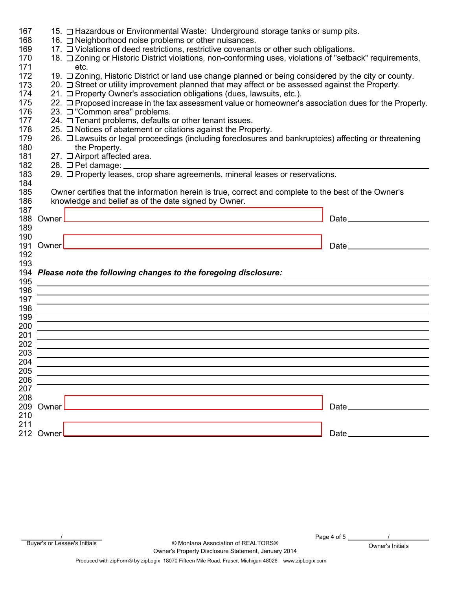| 167 |                                                                                                        | 15. O Hazardous or Environmental Waste: Underground storage tanks or sump pits.                                                                                                                                                      |             |  |
|-----|--------------------------------------------------------------------------------------------------------|--------------------------------------------------------------------------------------------------------------------------------------------------------------------------------------------------------------------------------------|-------------|--|
| 168 | 16. □ Neighborhood noise problems or other nuisances.                                                  |                                                                                                                                                                                                                                      |             |  |
| 169 |                                                                                                        | 17. O Violations of deed restrictions, restrictive covenants or other such obligations.                                                                                                                                              |             |  |
| 170 |                                                                                                        | 18. O Zoning or Historic District violations, non-conforming uses, violations of "setback" requirements,                                                                                                                             |             |  |
| 171 | etc.                                                                                                   |                                                                                                                                                                                                                                      |             |  |
| 172 |                                                                                                        | 19. $\Box$ Zoning, Historic District or land use change planned or being considered by the city or county.                                                                                                                           |             |  |
| 173 |                                                                                                        | 20. □ Street or utility improvement planned that may affect or be assessed against the Property.                                                                                                                                     |             |  |
| 174 | 21. □ Property Owner's association obligations (dues, lawsuits, etc.).                                 |                                                                                                                                                                                                                                      |             |  |
| 175 | 22. O Proposed increase in the tax assessment value or homeowner's association dues for the Property.  |                                                                                                                                                                                                                                      |             |  |
| 176 | 23. □ "Common area" problems.                                                                          |                                                                                                                                                                                                                                      |             |  |
| 177 |                                                                                                        | 24. □ Tenant problems, defaults or other tenant issues.                                                                                                                                                                              |             |  |
| 178 | 25. □ Notices of abatement or citations against the Property.                                          |                                                                                                                                                                                                                                      |             |  |
| 179 | 26. O Lawsuits or legal proceedings (including foreclosures and bankruptcies) affecting or threatening |                                                                                                                                                                                                                                      |             |  |
| 180 |                                                                                                        | the Property.                                                                                                                                                                                                                        |             |  |
| 181 |                                                                                                        | 27. □ Airport affected area.                                                                                                                                                                                                         |             |  |
| 182 |                                                                                                        | 28. $\Box$ Pet damage: $\_\_$                                                                                                                                                                                                        |             |  |
| 183 |                                                                                                        |                                                                                                                                                                                                                                      |             |  |
| 184 |                                                                                                        |                                                                                                                                                                                                                                      |             |  |
| 185 |                                                                                                        | Owner certifies that the information herein is true, correct and complete to the best of the Owner's                                                                                                                                 |             |  |
| 186 |                                                                                                        | knowledge and belief as of the date signed by Owner.                                                                                                                                                                                 |             |  |
| 187 |                                                                                                        |                                                                                                                                                                                                                                      |             |  |
| 188 |                                                                                                        |                                                                                                                                                                                                                                      |             |  |
| 189 |                                                                                                        |                                                                                                                                                                                                                                      |             |  |
| 190 |                                                                                                        |                                                                                                                                                                                                                                      |             |  |
| 191 |                                                                                                        |                                                                                                                                                                                                                                      | Date $\_\_$ |  |
| 192 |                                                                                                        |                                                                                                                                                                                                                                      |             |  |
| 193 |                                                                                                        |                                                                                                                                                                                                                                      |             |  |
|     |                                                                                                        | 194 Please note the following changes to the foregoing disclosure:                                                                                                                                                                   |             |  |
| 195 |                                                                                                        | <u>and the contract of the contract of the contract of the contract of the contract of the contract of the contract of the contract of the contract of the contract of the contract of the contract of the contract of the contr</u> |             |  |
| 196 |                                                                                                        |                                                                                                                                                                                                                                      |             |  |
| 197 |                                                                                                        | <u> 1989 - Andrea Andrew Maria (h. 1989).</u>                                                                                                                                                                                        |             |  |
| 198 |                                                                                                        | <u> 1989 - Andrea Andrew Maria (h. 1989).</u>                                                                                                                                                                                        |             |  |
| 199 |                                                                                                        | <u> 1989 - Andrea Andrew Maria (h. 1989).</u>                                                                                                                                                                                        |             |  |
| 200 |                                                                                                        |                                                                                                                                                                                                                                      |             |  |
| 201 |                                                                                                        |                                                                                                                                                                                                                                      |             |  |
| 202 |                                                                                                        |                                                                                                                                                                                                                                      |             |  |
| 203 |                                                                                                        |                                                                                                                                                                                                                                      |             |  |
| 204 |                                                                                                        |                                                                                                                                                                                                                                      |             |  |
| 205 |                                                                                                        |                                                                                                                                                                                                                                      |             |  |
| 206 |                                                                                                        |                                                                                                                                                                                                                                      |             |  |
| 207 |                                                                                                        |                                                                                                                                                                                                                                      |             |  |
| 208 |                                                                                                        |                                                                                                                                                                                                                                      |             |  |
| 209 | Owner_                                                                                                 |                                                                                                                                                                                                                                      |             |  |
| 210 |                                                                                                        |                                                                                                                                                                                                                                      |             |  |
| 211 |                                                                                                        |                                                                                                                                                                                                                                      |             |  |
|     | 212 Owner_                                                                                             |                                                                                                                                                                                                                                      |             |  |